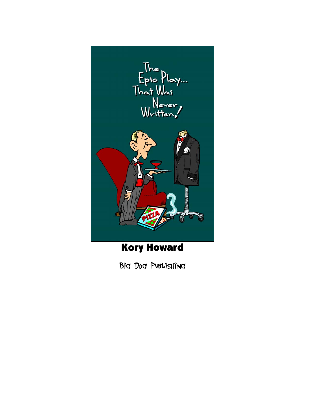

Kory Howard

Big Dog Publishing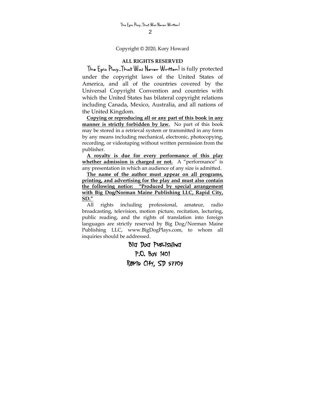Copyright © 2020, Kory Howard

### **ALL RIGHTS RESERVED**

 **The Epic Play…That Was Never Written!** is fully protected under the copyright laws of the United States of America, and all of the countries covered by the Universal Copyright Convention and countries with which the United States has bilateral copyright relations including Canada, Mexico, Australia, and all nations of the United Kingdom.

**Copying or reproducing all or any part of this book in any manner is strictly forbidden by law.** No part of this book may be stored in a retrieval system or transmitted in any form by any means including mechanical, electronic, photocopying, recording, or videotaping without written permission from the publisher.

**A royalty is due for every performance of this play whether admission is charged or not.** A "performance" is any presentation in which an audience of any size is admitted.

**The name of the author must appear on all programs, printing, and advertising for the play and must also contain the following notice: "Produced by special arrangement with Big Dog/Norman Maine Publishing LLC, Rapid City, SD."**

All rights including professional, amateur, radio broadcasting, television, motion picture, recitation, lecturing, public reading, and the rights of translation into foreign languages are strictly reserved by Big Dog/Norman Maine Publishing LLC, www.BigDogPlays.com, to whom all inquiries should be addressed.

> Big Dog Publishing P.O. Box 1401 Rapid City, SD 57709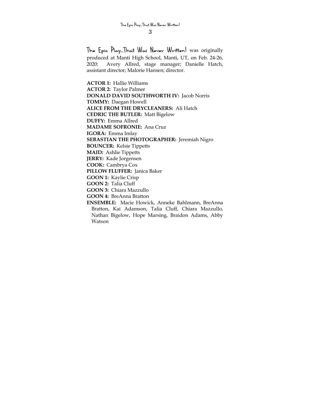**The Epic Play…That Was Never Written!** was originally produced at Manti High School, Manti, UT, on Feb. 24-26, 2020: Avery Allred, stage manager; Danielle Hatch, assistant director; Malorie Hansen; director.

**ACTOR 1:** Hallie Williams **ACTOR 2:** Taylor Palmer **DONALD DAVID SOUTHWORTH IV:** Jacob Norris **TOMMY:** Daegan Howell **ALICE FROM THE DRYCLEANERS:** Ali Hatch **CEDRIC THE BUTLER:** Matt Bigelow **DUFFY:** Emma Allred **MADAME SOFRONIE:** Ana Cruz **IGORA:** Emma Imlay **SEBASTIAN THE PHOTOGRAPHER:** Jeremiah Nigro **BOUNCER:** Kelsie Tippetts **MAID:** Ashlie Tippetts **JERRY:** Kade Jorgensen **COOK:** Cambrya Cox **PILLOW FLUFFER:** Janica Baker **GOON 1:** Kaylie Crisp **GOON 2:** Talia Cluff **GOON 3:** Chiara Mazzullo **GOON 4:** BreAnna Bratton **ENSEMBLE:** Macie Howick, Anneke Bahlmann, BreAnna

Bratton, Kai Adamson, Talia Cluff, Chiara Mazzullo, Nathan Bigelow, Hope Marsing, Braidon Adams, Abby Watson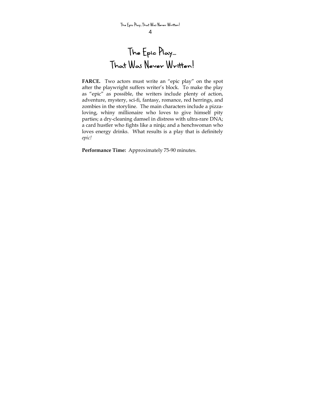# **The Epic Play… That Was Never Written!**

**FARCE.** Two actors must write an "epic play" on the spot after the playwright suffers writer's block. To make the play as "epic" as possible, the writers include plenty of action, adventure, mystery, sci-fi, fantasy, romance, red herrings, and zombies in the storyline. The main characters include a pizzaloving, whiny millionaire who loves to give himself pity parties; a dry-cleaning damsel in distress with ultra-rare DNA; a card hustler who fights like a ninja; and a henchwoman who loves energy drinks. What results is a play that is definitely *epic!* 

**Performance Time:** Approximately 75-90 minutes.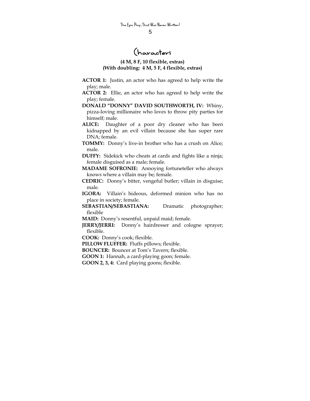# **Characters**

### **(4 M, 8 F, 10 flexible, extras) (With doubling: 4 M, 5 F, 4 flexible, extras)**

- **ACTOR 1:** Justin, an actor who has agreed to help write the play; male.
- **ACTOR 2:** Ellie, an actor who has agreed to help write the play; female.
- **DONALD "DONNY" DAVID SOUTHWORTH, IV:** Whiny, pizza-loving millionaire who loves to throw pity parties for himself; male.
- **ALICE:** Daughter of a poor dry cleaner who has been kidnapped by an evil villain because she has super rare DNA; female.
- **TOMMY:** Donny's live-in brother who has a crush on Alice; male.
- **DUFFY:** Sidekick who cheats at cards and fights like a ninja; female disguised as a male; female.
- **MADAME SOFRONIE:** Annoying fortuneteller who always knows where a villain may be; female.
- **CEDRIC:** Donny's bitter, vengeful butler; villain in disguise; male.
- **IGORA:** Villain's hideous, deformed minion who has no place in society; female.
- **SEBASTIAN/SEBASTIANA:** Dramatic photographer; flexible
- **MAID:** Donny's resentful, unpaid maid; female.
- **JERRY/JERRI:** Donny's hairdresser and cologne sprayer; flexible.
- **COOK:** Donny's cook; flexible.
- **PILLOW FLUFFER:** Fluffs pillows; flexible.
- **BOUNCER:** Bouncer at Tom's Tavern; flexible.
- **GOON 1:** Hannah, a card-playing goon; female.
- **GOON 2, 3, 4:** Card playing goons; flexible.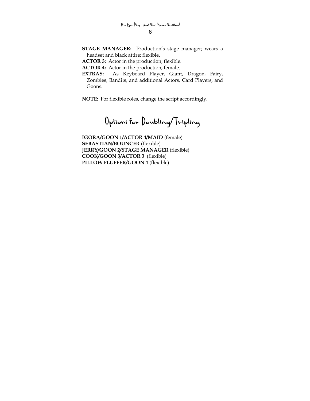- **STAGE MANAGER:** Production's stage manager; wears a headset and black attire; flexible.
- **ACTOR 3:** Actor in the production; flexible.

**ACTOR 4:** Actor in the production; female.

**EXTRAS:** As Keyboard Player, Giant, Dragon, Fairy, Zombies, Bandits, and additional Actors, Card Players, and Goons.

**NOTE:** For flexible roles, change the script accordingly.

**Options for Doubling/Tripling** 

**IGORA/GOON 1/ACTOR 4/MAID** (female) **SEBASTIAN/BOUNCER** (flexible) **JERRY/GOON 2/STAGE MANAGER** (flexible) **COOK/GOON 3/ACTOR 3** (flexible) **PILLOW FLUFFER/GOON 4** (flexible)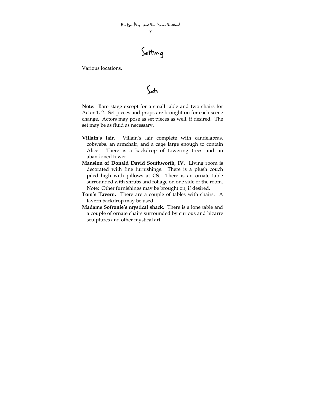**Setting** 

Various locations.

**Sets** 

**Note:** Bare stage except for a small table and two chairs for Actor 1, 2. Set pieces and props are brought on for each scene change. Actors may pose as set pieces as well, if desired. The set may be as fluid as necessary.

- **Villain's lair.** Villain's lair complete with candelabras, cobwebs, an armchair, and a cage large enough to contain Alice. There is a backdrop of towering trees and an abandoned tower.
- **Mansion of Donald David Southworth, IV.** Living room is decorated with fine furnishings. There is a plush couch piled high with pillows at CS. There is an ornate table surrounded with shrubs and foliage on one side of the room. Note: Other furnishings may be brought on, if desired.
- **Tom's Tavern.** There are a couple of tables with chairs. A tavern backdrop may be used.
- **Madame Sofronie's mystical shack.** There is a lone table and a couple of ornate chairs surrounded by curious and bizarre sculptures and other mystical art.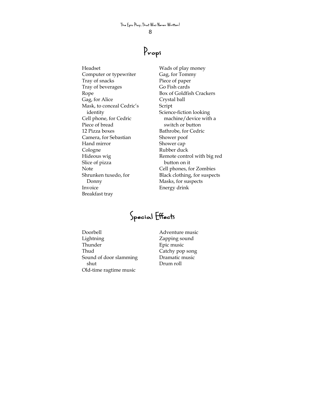# **Props**

Headset Computer or typewriter Tray of snacks Tray of beverages Rope Gag, for Alice Mask, to conceal Cedric's identity Cell phone, for Cedric Piece of bread 12 Pizza boxes Camera, for Sebastian Hand mirror Cologne Hideous wig Slice of pizza Note Shrunken tuxedo, for Donny Invoice Breakfast tray

Wads of play money Gag, for Tommy Piece of paper Go Fish cards Box of Goldfish Crackers Crystal ball Script Science-fiction looking machine/device with a switch or button Bathrobe, for Cedric Shower poof Shower cap Rubber duck Remote control with big red button on it Cell phones, for Zombies Black clothing, for suspects Masks, for suspects Energy drink

**Special Effects** 

Doorbell Lightning Thunder Thud Sound of door slamming shut Old-time ragtime music

Adventure music Zapping sound Epic music Catchy pop song Dramatic music Drum roll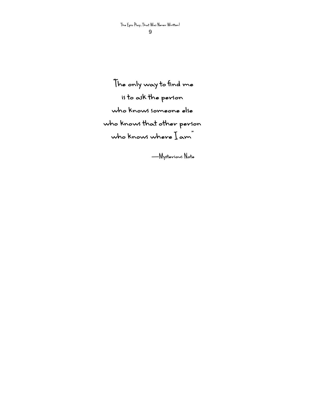**"The only way to find me is to ask the person who knows someone else who knows that other person who knows where I am"** 

**—Mysterious Note**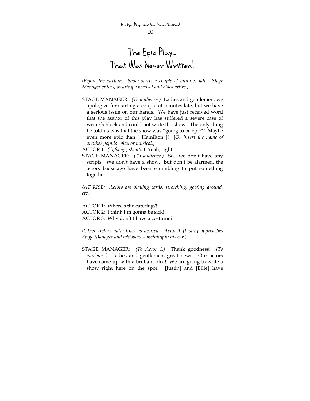## **The Epic Play… That Was Never Written!**

*(Before the curtain. Show starts a couple of minutes late. Stage Manager enters, wearing a headset and black attire.)* 

STAGE MANAGER: *(To audience.)* Ladies and gentlemen, we apologize for starting a couple of minutes late, but we have a serious issue on our hands. We have just received word that the author of this play has suffered a severe case of writer's block and could not write the show. The only thing he told us was that the show was "going to be epic"! Maybe even more epic than ["Hamilton"]! [*Or insert the name of another popular play or musical.]* 

ACTOR 1: *(Offstage, shouts.)* Yeah, right!

STAGE MANAGER: *(To audience.)* So…we don't have any scripts. We don't have a show. But don't be alarmed, the actors backstage have been scrambling to put something together…

*(AT RISE: Actors are playing cards, stretching, goofing around, etc.)* 

ACTOR 1: Where's the catering?! ACTOR 2: I think I'm gonna be sick! ACTOR 3: Why don't I have a costume?

*(Other Actors adlib lines as desired. Actor 1 [Justin] approaches Stage Manager and whispers something in his ear.)* 

STAGE MANAGER: *(To Actor 1.)* Thank goodness! *(To audience.)* Ladies and gentlemen, great news! Our actors have come up with a brilliant idea! We are going to write a show right here on the spot! [Justin] and [Ellie] have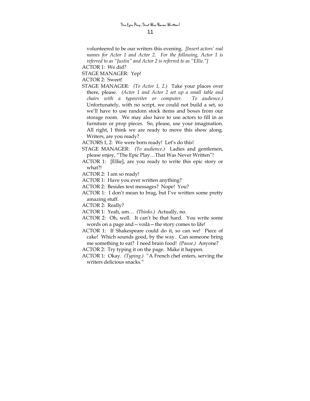volunteered to be our writers this evening. *[Insert actors' real names for Actor 1 and Actor 2. For the following, Actor 1 is referred to as "Justin" and Actor 2 is referred to as "Ellie."]*

ACTOR 1: We did?

STAGE MANAGER: Yep!

ACTOR 2: Sweet!

- STAGE MANAGER: *(To Actor 1, 2.)* Take your places over there, please. *(Actor 1 and Actor 2 set up a small table and chairs with a typewriter or computer. To audience.)* Unfortunately, with no script, we could not build a set, so we'll have to use random stock items and boxes from our storage room. We may also have to use actors to fill in as furniture or prop pieces. So, please, use your imagination. All right, I think we are ready to move this show along. Writers, are you ready?
- ACTORS 1, 2: We were born ready! Let's do this!
- STAGE MANAGER: *(To audience.)* Ladies and gentlemen, please enjoy, "The Epic Play…That Was Never Written"!
- ACTOR 1: [Ellie], are you ready to write this epic story or what?!

ACTOR 2: I am so ready!

- ACTOR 1: Have you ever written anything?
- ACTOR 2: Besides text messages? Nope! You?
- ACTOR 1: I don't mean to brag, but I've written some pretty amazing stuff.
- ACTOR 2: Really?
- ACTOR 1: Yeah, um… *(Thinks.)* Actually, no.
- ACTOR 2: Oh, well. It can't be that hard. You write some words on a page and—voilà—the story comes to life!
- ACTOR 1: If Shakespeare could do it, so can we! Piece of cake! Which sounds good, by the way. Can someone bring me something to eat? I need brain food! *(Pause.)* Anyone?
- ACTOR 2: Try typing it on the page. Make it happen.
- ACTOR 1: Okay. *(Typing.)* "A French chef enters, serving the writers delicious snacks."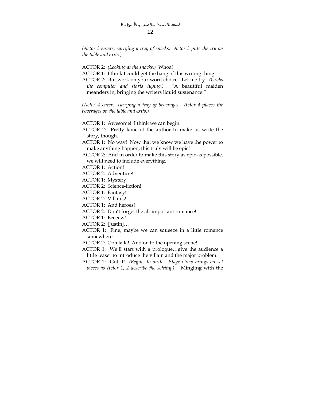*(Actor 3 enters, carrying a tray of snacks. Actor 3 puts the try on the table and exits.)* 

ACTOR 2: *(Looking at the snacks.)* Whoa!

- ACTOR 1: I think I could get the hang of this writing thing!
- ACTOR 2: But work on your word choice. Let me try. *(Grabs the computer and starts typing.)* "A beautiful maiden meanders in, bringing the writers liquid sustenance!"

*(Actor 4 enters, carrying a tray of beverages. Actor 4 places the beverages on the table and exits.)* 

ACTOR 1: Awesome! I think we can begin.

- ACTOR 2: Pretty lame of the author to make us write the story, though.
- ACTOR 1: No way! Now that we know we have the power to make anything happen, this truly will be epic!
- ACTOR 2: And in order to make this story as epic as possible, we will need to include everything.
- ACTOR 1: Action!
- ACTOR 2: Adventure!
- ACTOR 1: Mystery!
- ACTOR 2: Science-fiction!
- ACTOR 1: Fantasy!
- ACTOR 2: Villains!
- ACTOR 1: And heroes!
- ACTOR 2: Don't forget the all-important romance!
- ACTOR 1: Eeeeew!
- ACTOR 2: [Justin]…
- ACTOR 1: Fine, maybe we can squeeze in a little romance somewhere.
- ACTOR 2: Ooh la la! And on to the opening scene!
- ACTOR 1: We'll start with a prologue…give the audience a little teaser to introduce the villain and the major problem.
- ACTOR 2: Got it! *(Begins to write. Stage Crew brings on set pieces as Actor 1, 2 describe the setting.)* "Mingling with the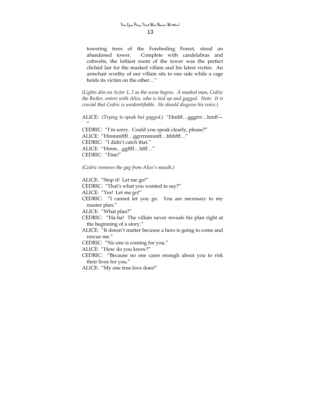towering trees of the Foreboding Forest, stood an abandoned tower. Complete with candelabras and cobwebs, the loftiest room of the tower was the perfect clichéd lair for the masked villain and his latest victim. An armchair worthy of our villain sits to one side while a cage holds its victim on the other…"

*(Lights dim on Actor 1, 2 as the scene begins. A masked man, Cedric the Butler, enters with Alice, who is tied up and gagged. Note: It is crucial that Cedric is unidentifiable. He should disguise his voice.)* 

ALICE: *(Trying to speak but gagged.)* "Hmfff…gggrrr…hmff—

CEDRIC: "I'm sorry. Could you speak clearly, please?" ALICE: "Hmmmffff…ggrrrmmmff…hhhfff…" CEDRIC: "I didn't catch that." ALICE: "Hmm…ggffff…hfff…" CEDRIC: "Fine!"

*(Cedric removes the gag from Alice's mouth.)* 

 $^{\prime\prime}$ 

ALICE: "Stop it! Let me go!" CEDRIC: "That's what you wanted to say?" ALICE: "Yes! Let me go!" CEDRIC: "I cannot let you go. You are necessary to my master plan." ALICE: "What plan?" CEDRIC: "Ha-ha! The villain never reveals his plan right at the beginning of a story." ALICE: "It doesn't matter because a hero is going to come and rescue me." CEDRIC: "No one is coming for you." ALICE: "How do you know?" CEDRIC: "Because no one cares enough about you to risk their lives for you." ALICE: "My one true love does!"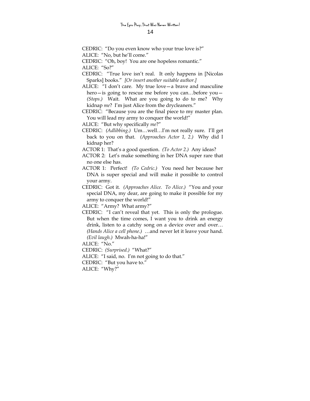CEDRIC: "Do you even know who your true love is?" ALICE: "No, but he'll come."

CEDRIC: "Oh, boy! You are one hopeless romantic."

ALICE: "So?"

- CEDRIC: "True love isn't real. It only happens in [Nicolas Sparks] books." *[Or insert another suitable author.]*
- ALICE: "I don't care. My true love—a brave and masculine hero—is going to rescue me before you can...before you— *(Stops.)* Wait. What are you going to do to me? Why kidnap *me*? I'm just Alice from the drycleaners."

CEDRIC: "Because you are the final piece to my master plan. You will lead my army to conquer the world!"

ALICE: "But why specifically *me*?"

CEDRIC: *(Adlibbing.)* Um…well…I'm not really sure. I'll get back to you on that. *(Approaches Actor 1, 2.)* Why did I kidnap her?

ACTOR 1: That's a good question. *(To Actor 2.)* Any ideas?

- ACTOR 2: Let's make something in her DNA super rare that no one else has.
- ACTOR 1: Perfect! *(To Cedric.)* You need her because her DNA is super special and will make it possible to control your army.
- CEDRIC: Got it. *(Approaches Alice. To Alice.)* "You and your special DNA, my dear, are going to make it possible for my army to conquer the world!"
- ALICE: "Army? What army?"
- CEDRIC: "I can't reveal that yet. This is only the prologue. But when the time comes, I want you to drink an energy drink, listen to a catchy song on a device over and over… *(Hands Alice a cell phone.)* …and never let it leave your hand. *(Evil laugh.)* Mwah-ha-ha!"

ALICE: "No."

CEDRIC: *(Surprised.)* "What?"

ALICE: "I said, no. I'm not going to do that."

CEDRIC: "But you have to."

ALICE: "Why?"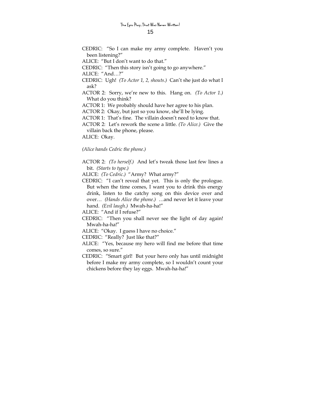CEDRIC: "So I can make my army complete. Haven't you been listening?"

ALICE: "But I don't want to do that."

CEDRIC: "Then this story isn't going to go anywhere."

ALICE: "And…?"

- CEDRIC: Ugh! *(To Actor 1, 2, shouts.)* Can't she just do what I ask?
- ACTOR 2: Sorry, we're new to this. Hang on. *(To Actor 1.)* What do you think?

ACTOR 1: We probably should have her agree to his plan.

ACTOR 2: Okay, but just so you know, she'll be lying.

ACTOR 1: That's fine. The villain doesn't need to know that.

ACTOR 2: Let's rework the scene a little. *(To Alice.)* Give the villain back the phone, please.

ALICE: Okay.

*(Alice hands Cedric the phone.)* 

ACTOR 2: *(To herself.)* And let's tweak those last few lines a bit. *(Starts to type.)*

ALICE: *(To Cedric.)* "Army? What army?"

CEDRIC: "I can't reveal that yet. This is only the prologue. But when the time comes, I want you to drink this energy drink, listen to the catchy song on this device over and over… *(Hands Alice the phone.)* …and never let it leave your hand. *(Evil laugh.)* Mwah-ha-ha!"

ALICE: "And if I refuse?"

- CEDRIC: "Then you shall never see the light of day again! Mwah-ha-ha!"
- ALICE: "Okay. I guess I have no choice."

CEDRIC: "Really? Just like that?"

- ALICE: "Yes, because my hero will find me before that time comes, so sure."
- CEDRIC: "Smart girl! But your hero only has until midnight before I make my army complete, so I wouldn't count your chickens before they lay eggs. Mwah-ha-ha!"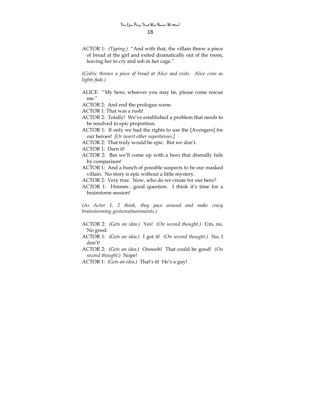ACTOR 1: *(Typing.)* "And with that, the villain threw a piece of bread at the girl and exited dramatically out of the room, leaving her to cry and sob in her cage."

*(Cedric throws a piece of bread at Alice and exits. Alice cries as lights fade.)* 

ALICE: "My hero, whoever you may be, please come rescue me."

ACTOR 2: And end the prologue scene.

ACTOR 1: That was a rush!

- ACTOR 2: Totally! We've established a problem that needs to be resolved in epic proportion.
- ACTOR 1: If only we had the rights to use the [Avengers] for our heroes! *[Or insert other superheroes.]*
- ACTOR 2: That truly would be epic. But we don't.

ACTOR 1: Darn it!

ACTOR 2: But we'll come up with a hero that dismally fails by comparison!

ACTOR 1: And a bunch of possible suspects to be our masked villain. No story is epic without a little mystery.

ACTOR 2: Very true. Now, who do we create for our hero?

ACTOR 1: Hmmm…good question. I think it's time for a brainstorm session!

*(As Actor 1, 2 think, they pace around and make crazy brainstorming gestures/movements.)* 

- ACTOR 2: *(Gets an idea.)* Yes! *(On second thought.)* Um, no. No good.
- ACTOR 1: *(Gets an idea.)* I got it! *(On second thought.)* No, I don't!
- ACTOR 2: *(Gets an idea.)* Oooooh! That could be good! *(On second thought.)* Nope!
- ACTOR 1: *(Gets an idea.)* That's it! He's a guy!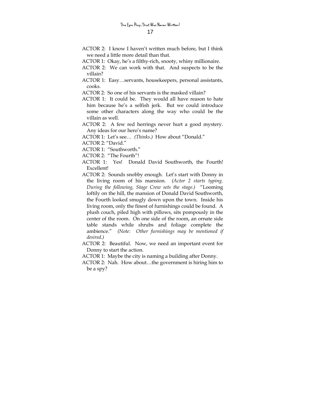- ACTOR 2: I know I haven't written much before, but I think we need a little more detail than that.
- ACTOR 1: Okay, he's a filthy-rich, snooty, whiny millionaire.
- ACTOR 2: We can work with that. And suspects to be the villain?
- ACTOR 1: Easy…servants, housekeepers, personal assistants, cooks.
- ACTOR 2: So one of his servants is the masked villain?
- ACTOR 1: It could be. They would all have reason to hate him because he's a selfish jerk. But we could introduce some other characters along the way who could be the villain as well.
- ACTOR 2: A few red herrings never hurt a good mystery. Any ideas for our hero's name?
- ACTOR 1: Let's see… *(Thinks.)* How about "Donald."
- ACTOR 2: "David."
- ACTOR 1: "Southworth."
- ACTOR 2: "The Fourth"!
- ACTOR 1: Yes! Donald David Southworth, the Fourth! Excellent!
- ACTOR 2: Sounds snobby enough. Let's start with Donny in the living room of his mansion. *(Actor 2 starts typing. During the following, Stage Crew sets the stage.)* "Looming loftily on the hill, the mansion of Donald David Southworth, the Fourth looked smugly down upon the town. Inside his living room, only the finest of furnishings could be found. A plush couch, piled high with pillows, sits pompously in the center of the room. On one side of the room, an ornate side table stands while shrubs and foliage complete the ambience." *(Note: Other furnishings may be mentioned if desired.)*
- ACTOR 2: Beautiful. Now, we need an important event for Donny to start the action.
- ACTOR 1: Maybe the city is naming a building after Donny.
- ACTOR 2: Nah. How about…the government is hiring him to be a spy?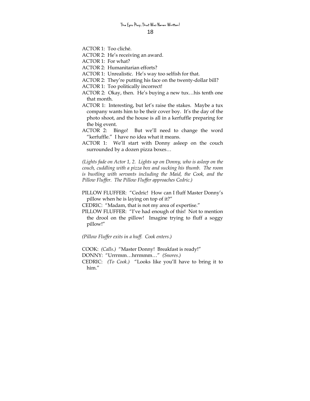ACTOR 1: Too cliché.

- ACTOR 2: He's receiving an award.
- ACTOR 1: For what?
- ACTOR 2: Humanitarian efforts?
- ACTOR 1: Unrealistic. He's way too selfish for that.
- ACTOR 2: They're putting his face on the twenty-dollar bill?
- ACTOR 1: Too politically incorrect!
- ACTOR 2: Okay, then. He's buying a new tux…his tenth one that month.
- ACTOR 1: Interesting, but let's raise the stakes. Maybe a tux company wants him to be their cover boy. It's the day of the photo shoot, and the house is all in a kerfuffle preparing for the big event.
- ACTOR 2: Bingo! But we'll need to change the word "kerfuffle." I have no idea what it means.
- ACTOR 1: We'll start with Donny asleep on the couch surrounded by a dozen pizza boxes…

*(Lights fade on Actor 1, 2. Lights up on Donny, who is asleep on the couch, cuddling with a pizza box and sucking his thumb. The room is bustling with servants including the Maid, the Cook, and the Pillow Fluffer. The Pillow Fluffer approaches Cedric.)*

- PILLOW FLUFFER: "Cedric! How can I fluff Master Donny's pillow when he is laying on top of it?"
- CEDRIC: "Madam, that is not my area of expertise."
- PILLOW FLUFFER: "I've had enough of this! Not to mention the drool on the pillow! Imagine trying to fluff a soggy pillow!"

*(Pillow Fluffer exits in a huff. Cook enters.)* 

COOK: *(Calls.)* "Master Donny! Breakfast is ready!"

- DONNY: "Urrrmm…hrrmmm…" *(Snores.)*
- CEDRIC: *(To Cook.)* "Looks like you'll have to bring it to him."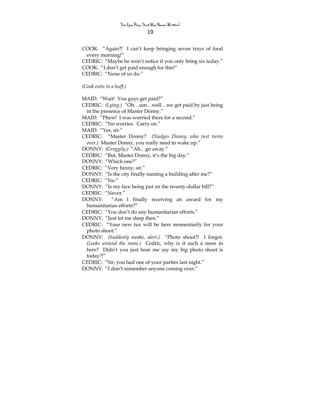COOK: "Again?! I can't keep bringing seven trays of food every morning!" CEDRIC: "Maybe he won't notice if you only bring six today." COOK: "I don't get paid enough for this!" CEDRIC: "None of us do."

*(Cook exits in a huff.)* 

MAID: "Wait! You guys get paid?"

CEDRIC: *(Lying.)* "Oh…um…well…we get paid by just being in the presence of Master Donny."

MAID: "Phew! I was worried there for a second."

CEDRIC: "No worries. Carry on."

MAID: "Yes, sir."

CEDRIC: "Master Donny? *(Nudges Donny, who just turns over.)* Master Donny, you really need to wake up."

DONNY: *(Groggily.)* "Ah…go away."

CEDRIC: "But, Master Donny, it's the big day."

DONNY: "Which one?"

CEDRIC: "Very funny, sir."

DONNY: "Is the city finally naming a building after me?"

CEDRIC: "No."

DONNY: "Is my face being put on the twenty-dollar bill?" CEDRIC: "Never."

DONNY: "Am I finally receiving an award for my humanitarian efforts?"

CEDRIC: "You don't do any humanitarian efforts."

DONNY: "Just let me sleep then."

CEDRIC: "Your new tux will be here momentarily for your photo shoot."

DONNY: *(Suddenly awake, alert.)* "Photo shoot?! I forgot. *(Looks around the room.)* Cedric, why is it such a mess in here? Didn't you just hear me say my big photo shoot is today?!"

CEDRIC: "Sir, you had one of your parties last night."

DONNY: "I don't remember anyone coming over."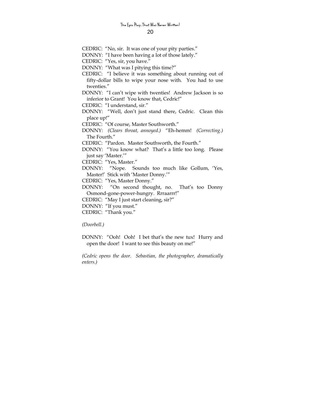CEDRIC: "No, sir. It was one of your pity parties."

DONNY: "I have been having a lot of those lately."

CEDRIC: "Yes, sir, you have."

DONNY: "What was I pitying this time?"

- CEDRIC: "I believe it was something about running out of fifty-dollar bills to wipe your nose with. You had to use twenties."
- DONNY: "I can't wipe with twenties! Andrew Jackson is so inferior to Grant! You know that, Cedric!"

CEDRIC: "I understand, sir."

DONNY: "Well, don't just stand there, Cedric. Clean this place up!"

CEDRIC: "Of course, Master Southworth."

DONNY: *(Clears throat, annoyed.)* "Eh-hemm! *(Correcting.)* The Fourth."

CEDRIC: "Pardon. Master Southworth, the Fourth."

DONNY: "You know what? That's a little too long. Please just say 'Master.'"

CEDRIC: "Yes, Master."

DONNY: "Nope. Sounds too much like Gollum, 'Yes, Master!' Stick with 'Master Donny.'"

CEDRIC: "Yes, Master Donny."

DONNY: "On second thought, no. That's too Donny Osmond-gone-power-hungry. Rrraarrr!"

CEDRIC: "May I just start cleaning, sir?"

DONNY: "If you must."

CEDRIC: "Thank you."

*(Doorbell.)* 

DONNY: "Ooh! Ooh! I bet that's the new tux! Hurry and open the door! I want to see this beauty on me!"

*(Cedric opens the door. Sebastian, the photographer, dramatically enters.)*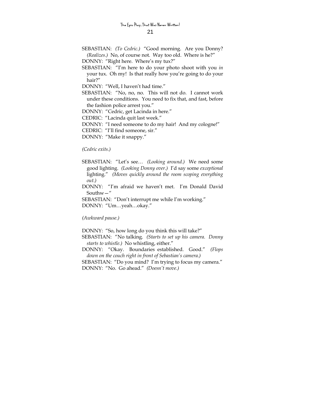- SEBASTIAN: *(To Cedric.)* "Good morning. Are you Donny? *(Realizes.)* No, of course not. Way too old. Where is he?"
- DONNY: "Right here. Where's my tux?"
- SEBASTIAN: "I'm here to do your photo shoot with you *in* your tux. Oh my! Is that really how you're going to do your hair?"
- DONNY: "Well, I haven't had time."
- SEBASTIAN: "No, no, no. This will not do. I cannot work under these conditions. You need to fix that, and fast, before the fashion police arrest you."
- DONNY: "Cedric, get Lacinda in here."

CEDRIC: "Lacinda quit last week."

DONNY: "I need someone to do my hair! And my cologne!"

CEDRIC: "I'll find someone, sir."

DONNY: "Make it snappy."

*(Cedric exits.)* 

- SEBASTIAN: "Let's see… *(Looking around.)* We need some good lighting. *(Looking Donny over.)* I'd say some *exceptional* lighting." *(Moves quickly around the room scoping everything out.)*
- DONNY: "I'm afraid we haven't met. I'm Donald David Southw—"

SEBASTIAN: "Don't interrupt me while I'm working." DONNY: "Um…yeah…okay."

*(Awkward pause.)* 

DONNY: "So, how long do you think this will take?"

- SEBASTIAN: "No talking. *(Starts to set up his camera. Donny starts to whistle.)* No whistling, either."
- DONNY: "Okay. Boundaries established. Good." *(Flops down on the couch right in front of Sebastian's camera.)*

SEBASTIAN: "Do you mind? I'm trying to focus my camera." DONNY: "No. Go ahead." *(Doesn't move.)*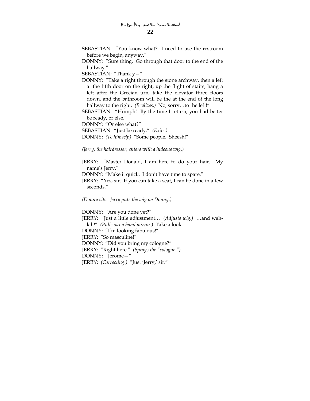- SEBASTIAN: "You know what? I need to use the restroom before we begin, anyway."
- DONNY: "Sure thing. Go through that door to the end of the hallway."

SEBASTIAN: "Thank y—"

- DONNY: "Take a right through the stone archway, then a left at the fifth door on the right, up the flight of stairs, hang a left after the Grecian urn, take the elevator three floors down, and the bathroom will be the at the end of the long hallway to the right. *(Realizes.)* No, sorry…to the left!"
- SEBASTIAN: "Humph! By the time I return, you had better be ready, or else."

DONNY: "Or else what?"

SEBASTIAN: "Just be ready." *(Exits.)* 

DONNY: *(To himself.)* "Some people. Sheesh!"

*(Jerry, the hairdresser, enters with a hideous wig.)* 

JERRY: "Master Donald, I am here to do your hair. My name's Jerry."

DONNY: "Make it quick. I don't have time to spare."

JERRY: "Yes, sir. If you can take a seat, I can be done in a few seconds."

*(Donny sits. Jerry puts the wig on Donny.)* 

DONNY: "Are you done yet?" JERRY: "Just a little adjustment… *(Adjusts wig.)* …and wahlah!" *(Pulls out a hand mirror.)* Take a look. DONNY: "I'm looking fabulous!" JERRY: "So masculine!" DONNY: "Did you bring my cologne?" JERRY: "Right here." *(Sprays the "cologne.")* DONNY: "Jerome—" JERRY: *(Correcting.)* "Just 'Jerry,' sir."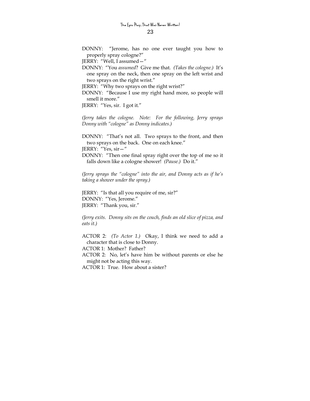DONNY: "Jerome, has no one ever taught you how to properly spray cologne?"

JERRY: "Well, I assumed—"

DONNY: "You *assumed*? Give me that. *(Takes the cologne.)* It's one spray on the neck, then one spray on the left wrist and two sprays on the right wrist."

JERRY: "Why two sprays on the right wrist?"

DONNY: "Because I use my right hand more, so people will smell it more."

JERRY: "Yes, sir. I got it."

*(Jerry takes the cologne. Note: For the following, Jerry sprays Donny with "cologne" as Donny indicates.)* 

DONNY: "That's not all. Two sprays to the front, and then two sprays on the back. One on each knee."

JERRY: "Yes, sir—"

DONNY: "Then one final spray right over the top of me so it falls down like a cologne shower! *(Pause.)* Do it."

*(Jerry sprays the "cologne" into the air, and Donny acts as if he's taking a shower under the spray.)* 

JERRY: "Is that all you require of me, sir?" DONNY: "Yes, Jerome." JERRY: "Thank you, sir."

*(Jerry exits. Donny sits on the couch, finds an old slice of pizza, and eats it.)* 

ACTOR 2: *(To Actor 1.)* Okay, I think we need to add a character that is close to Donny.

ACTOR 1: Mother? Father?

ACTOR 2: No, let's have him be without parents or else he might not be acting this way.

ACTOR 1: True. How about a sister?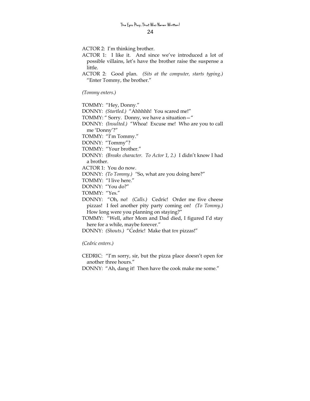ACTOR 2: I'm thinking brother.

- ACTOR 1: I like it. And since we've introduced a lot of possible villains, let's have the brother raise the suspense a little.
- ACTOR 2: Good plan. *(Sits at the computer, starts typing.)* "Enter Tommy, the brother."

*(Tommy enters.)* 

TOMMY: "Hey, Donny." DONNY: *(Startled.)* "Ahhhhh! You scared me!" TOMMY: " Sorry. Donny, we have a situation—" DONNY: *(Insulted.)* "Whoa! Excuse me! Who are you to call me 'Donny'?" TOMMY: "I'm Tommy." DONNY: "Tommy"? TOMMY: "Your brother." DONNY: *(Breaks character. To Actor 1, 2.)* I didn't know I had a brother. ACTOR 1: You do now. DONNY: *(To Tommy.) "*So, what are you doing here?" TOMMY: "I live here." DONNY: "You do?" TOMMY: "Yes." DONNY: "Oh, no! *(Calls.)* Cedric! Order me five cheese pizzas! I feel another pity party coming on! *(To Tommy.)* How long were you planning on staying?" TOMMY: "Well, after Mom and Dad died, I figured I'd stay here for a while, maybe forever." DONNY: *(Shouts.)* "Cedric! Make that *ten* pizzas!"

*(Cedric enters.)* 

CEDRIC: "I'm sorry, sir, but the pizza place doesn't open for another three hours."

DONNY: "Ah, dang it! Then have the cook make me some."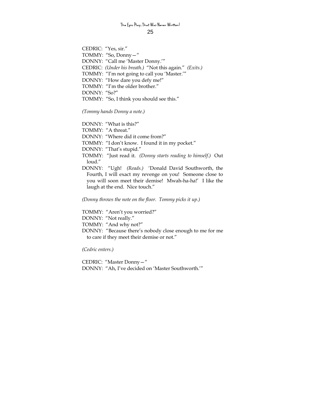### **The Epic Play…That Was Never Written!**

25

CEDRIC: "Yes, sir." TOMMY: "So, Donny—" DONNY: "Call me 'Master Donny.'" CEDRIC: *(Under his breath.)* "Not this again." *(Exits.)* TOMMY: "I'm not going to call you 'Master.'" DONNY: "How dare you defy me!" TOMMY: "I'm the older brother." DONNY: "So?" TOMMY: "So, I think you should see this."

*(Tommy hands Donny a note.)* 

DONNY: "What is this?" TOMMY: "A threat." DONNY: "Where did it come from?" TOMMY: "I don't know. I found it in my pocket." DONNY: "That's stupid." TOMMY: "Just read it. *(Donny starts reading to himself.)* Out loud." DONNY: "Ugh! *(Reads.)* 'Donald David Southworth, the Fourth, I will exact my revenge on you! Someone close to you will soon meet their demise! Mwah-ha-ha!'I like the laugh at the end. Nice touch."

*(Donny throws the note on the floor. Tommy picks it up.)* 

TOMMY: "Aren't you worried?" DONNY: "Not really." TOMMY: "And why not?" DONNY: "Because there's nobody close enough to me for me to care if they meet their demise or not."

*(Cedric enters.)* 

CEDRIC: "Master Donny—" DONNY: "Ah, I've decided on 'Master Southworth.'"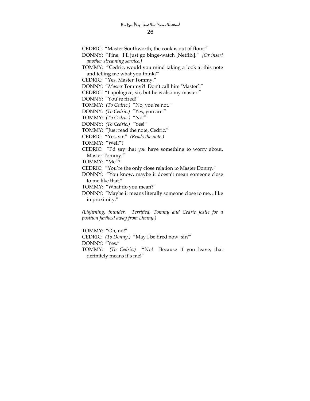CEDRIC: "Master Southworth, the cook is out of flour." DONNY: "Fine. I'll just go binge-watch [Netflix]." *[Or insert another streaming service.]*  TOMMY: "Cedric, would you mind taking a look at this note and telling me what you think?" CEDRIC: "Yes, Master Tommy." DONNY: "*Master* Tommy?! Don't call him 'Master'!" CEDRIC: "I apologize, sir, but he is also my master." DONNY: "You're fired!" TOMMY: *(To Cedric.)* "No, you're not." DONNY: *(To Cedric.)* "Yes, you are!" TOMMY: *(To Cedric.)* "No!" DONNY: *(To Cedric.)* "Yes!" TOMMY: "Just read the note, Cedric." CEDRIC: "Yes, sir." *(Reads the note.)* TOMMY: "Well"? CEDRIC: "I'd say that *you* have something to worry about, Master Tommy." TOMMY: "Me"? CEDRIC: "You're the only close relation to Master Donny." DONNY: "You know, maybe it doesn't mean someone close to me like that." TOMMY: "What do you mean?" DONNY: "Maybe it means literally someone close to me…like in proximity." *(Lightning, thunder. Terrified, Tommy and Cedric jostle for a position farthest away from Donny.)* 

TOMMY: "Oh, no!" CEDRIC: *(To Donny.)* "May I be fired now, sir?" DONNY: "Yes." TOMMY: *(To Cedric.)* "No! Because if you leave, that definitely means it's me!"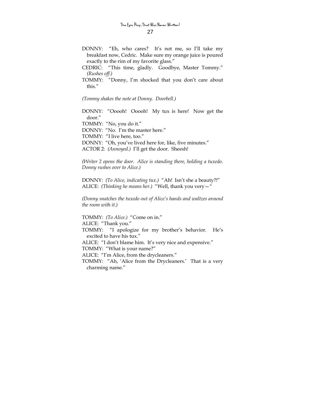DONNY: "Eh, who cares? It's not me, so I'll take my breakfast now, Cedric. Make sure my orange juice is poured exactly to the rim of my favorite glass."

CEDRIC: "This time, gladly. Goodbye, Master Tommy." *(Rushes off.)*

TOMMY: "Donny, I'm shocked that you don't care about this."

*(Tommy shakes the note at Donny. Doorbell.)* 

DONNY: "Ooooh! Ooooh! My tux is here! Now get the door."

TOMMY: "No, you do it."

DONNY: "No. I'm the master here."

TOMMY: "I live here, too."

DONNY: "Oh, you've lived here for, like, five minutes."

ACTOR 2: *(Annoyed.)* I'll get the door. Sheesh!

*(Writer 2 opens the door. Alice is standing there, holding a tuxedo. Donny rushes over to Alice.)* 

DONNY: *(To Alice, indicating tux.)* "Ah! Isn't she a beauty?!" ALICE: *(Thinking he means her.)* "Well, thank you very—"

*(Donny snatches the tuxedo out of Alice's hands and waltzes around the room with it.)* 

TOMMY: *(To Alice.)* "Come on in."

ALICE: "Thank you."

TOMMY: "I apologize for my brother's behavior. He's excited to have his tux."

ALICE: "I don't blame him. It's very nice and expensive."

TOMMY: "What is your name?"

ALICE: "I'm Alice, from the drycleaners."

TOMMY: "Ah, 'Alice from the Drycleaners.' That is a very charming name."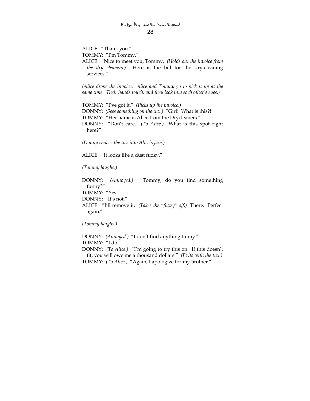ALICE: "Thank you." TOMMY: "I'm Tommy." ALICE: "Nice to meet you, Tommy. *(Holds out the invoice from the dry cleaners.)* Here is the bill for the dry-cleaning

*(Alice drops the invoice. Alice and Tommy go to pick it up at the same time. Their hands touch, and they look into each other's eyes.)* 

TOMMY: "I've got it." *(Picks up the invoice.)*  DONNY: *(Sees something on the tux.)* "Girl! What is this?!" TOMMY: "Her name is Alice from the Drycleaners." DONNY: "Don't care. *(To Alice.)* What is this spot right here?"

*(Donny shoves the tux into Alice's face.)* 

ALICE: "It looks like a dust fuzzy."

*(Tommy laughs.)* 

services."

DONNY: *(Annoyed.)* "Tommy, do you find something funny?" TOMMY: "Yes." DONNY: "It's not." ALICE: "I'll remove it. *(Takes the "fuzzy" off.)* There. Perfect again."

*(Tommy laughs.)* 

DONNY: *(Annoyed.)* "I don't find anything funny." TOMMY: "I do." DONNY: *(To Alice.)* "I'm going to try this on. If this doesn't fit, you will owe me a thousand dollars!" *(Exits with the tux.)* TOMMY: *(To Alice.)* "Again, I apologize for my brother."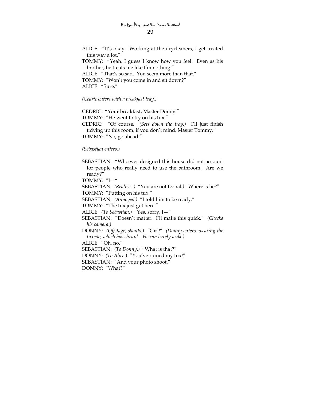ALICE: "It's okay. Working at the drycleaners, I get treated this way a lot." TOMMY: "Yeah, I guess I know how you feel. Even as his brother, he treats me like I'm nothing." ALICE: "That's so sad. You seem more than that." TOMMY: "Won't you come in and sit down?" ALICE: "Sure."

*(Cedric enters with a breakfast tray.)* 

CEDRIC: "Your breakfast, Master Donny." TOMMY: "He went to try on his tux." CEDRIC: "Of course. *(Sets down the tray.)* I'll just finish tidying up this room, if you don't mind, Master Tommy." TOMMY: "No, go ahead."

#### *(Sebastian enters.)*

SEBASTIAN: "Whoever designed this house did not account for people who really need to use the bathroom. Are we ready?" TOMMY: "I—" SEBASTIAN: *(Realizes.)* "You are not Donald. Where is he?" TOMMY: "Putting on his tux." SEBASTIAN: *(Annoyed.)* "I told him to be ready." TOMMY: "The tux just got here." ALICE: *(To Sebastian.)* "Yes, sorry, I—" SEBASTIAN: "Doesn't matter. I'll make this quick." *(Checks his camera.)* DONNY: *(Offstage, shouts.) "*Girl!" *(Donny enters, wearing the tuxedo, which has shrunk. He can barely walk.)* ALICE: "Oh, no." SEBASTIAN: *(To Donny.)* "What is that?" DONNY: *(To Alice.)* "You've ruined my tux!" SEBASTIAN: "And your photo shoot." DONNY: "What?"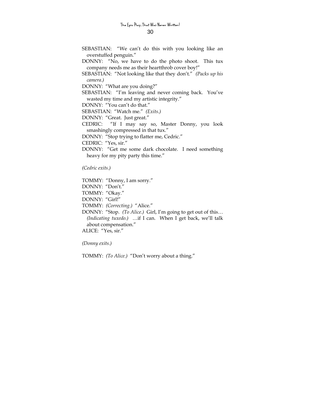- SEBASTIAN: "We can't do this with you looking like an overstuffed penguin."
- DONNY: "No, we have to do the photo shoot. This tux company needs me as their heartthrob cover boy!"
- SEBASTIAN: "Not looking like that they don't." *(Packs up his camera.)*

DONNY: "What are you doing?"

SEBASTIAN: "I'm leaving and never coming back. You've wasted my time and my artistic integrity."

DONNY: "You can't do that."

SEBASTIAN: "Watch me." *(Exits.)*

DONNY: "Great. Just great."

CEDRIC: "If I may say so, Master Donny, you look smashingly compressed in that tux."

DONNY: "Stop trying to flatter me, Cedric."

CEDRIC: "Yes, sir."

DONNY: "Get me some dark chocolate. I need something heavy for my pity party this time."

*(Cedric exits.)* 

TOMMY: "Donny, I am sorry." DONNY: "Don't." TOMMY: "Okay." DONNY: "Girl!" TOMMY: *(Correcting.)* "Alice." DONNY: "Stop. *(To Alice.)* Girl, I'm going to get out of this… *(Indicating tuxedo.)* …if I can. When I get back, we'll talk about compensation." ALICE: "Yes, sir."

*(Donny exits.)* 

TOMMY: *(To Alice.)* "Don't worry about a thing."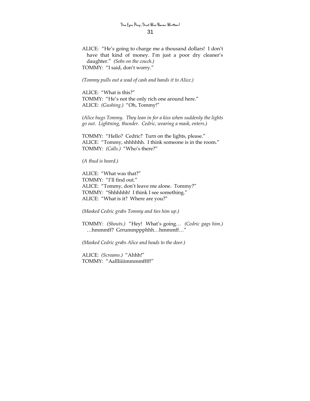ALICE: "He's going to charge me a thousand dollars! I don't have that kind of money. I'm just a poor dry cleaner's daughter." *(Sobs on the couch.)* TOMMY: "I said, don't worry."

*(Tommy pulls out a wad of cash and hands it to Alice.)* 

ALICE: "What is this?" TOMMY: "He's not the only rich one around here." ALICE: *(Gushing.)* "Oh, Tommy!"

*(Alice hugs Tommy. They lean in for a kiss when suddenly the lights go out. Lightning, thunder. Cedric, wearing a mask, enters.)* 

TOMMY: "Hello? Cedric? Turn on the lights, please." ALICE: "Tommy, shhhhhh. I think someone is in the room." TOMMY: *(Calls.)* "Who's there?"

*(A thud is heard.)* 

ALICE: "What was that?" TOMMY: "I'll find out." ALICE: "Tommy, don't leave me alone. Tommy?" TOMMY: "Shhhhhh! I think I see something." ALICE: "What is it? Where are you?"

*(Masked Cedric grabs Tommy and ties him up.)* 

TOMMY: *(Shouts.)* "Hey! What's going… *(Cedric gags him.)* …hmmmff? Grrummppphhh…hmmmff…"

*(Masked Cedric grabs Alice and heads to the door.)* 

ALICE: *(Screams.)* "Ahhh!" TOMMY: "Aallliiiimmmmffff!"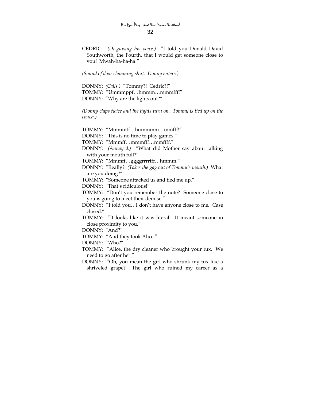CEDRIC: *(Disguising his voice.)* "I told you Donald David Southworth, the Fourth, that I would get someone close to you! Mwah-ha-ha-ha!"

*(Sound of door slamming shut. Donny enters.)* 

DONNY: *(Calls.)* "Tommy?! Cedric?!" TOMMY: "Ummmppf…hmmm…mmmfff!" DONNY: "Why are the lights out?"

*(Donny claps twice and the lights turn on. Tommy is tied up on the couch.)* 

TOMMY: "Mmmmff…hummmm…mmfff!"

DONNY: "This is no time to play games."

TOMMY: "Mmmff…mmmfff…mmffff."

DONNY: *(Annoyed.)* "What did Mother say about talking with your mouth full?"

TOMMY: "Mmmff…ggggrrrrfff…hmmm."

DONNY: "Really? *(Takes the gag out of Tommy's mouth.)* What are you doing?"

TOMMY: "Someone attacked us and tied me up."

DONNY: "That's ridiculous!"

TOMMY: "Don't you remember the note? Someone close to you is going to meet their demise."

DONNY: "I told you…I don't have anyone close to me. Case closed."

TOMMY: "It looks like it was literal. It meant someone in close proximity to you."

DONNY: "And?"

TOMMY: "And they took Alice."

DONNY: "Who?"

- TOMMY: "Alice, the dry cleaner who brought your tux. We need to go after her."
- DONNY: "Oh, you mean the girl who shrunk my tux like a shriveled grape? The girl who ruined my career as a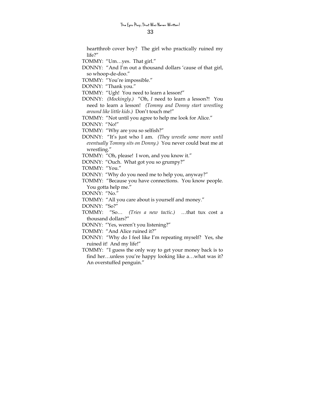heartthrob cover boy? The girl who practically ruined my life?"

TOMMY: "Um…yes. That girl."

DONNY: "And I'm out a thousand dollars 'cause of that girl, so whoop-de-doo."

TOMMY: "You're impossible."

DONNY: "Thank you."

TOMMY: "Ugh! You need to learn a lesson!"

DONNY: *(Mockingly.)* "Oh, *I* need to learn a lesson?! You need to learn a lesson! *(Tommy and Donny start wrestling around like little kids.)* Don't touch me!"

TOMMY: "Not until you agree to help me look for Alice."

DONNY: "No!"

TOMMY: "Why are you so selfish?"

DONNY: "It's just who I am. *(They wrestle some more until eventually Tommy sits on Donny.)* You never could beat me at wrestling."

TOMMY: "Oh, please! I won, and you know it."

DONNY: "Ouch. What got you so grumpy?"

TOMMY: "You."

DONNY: "Why do you need me to help you, anyway?"

TOMMY: "Because you have connections. You know people. You gotta help me."

DONNY: "No."

TOMMY: "All you care about is yourself and money."

DONNY: "So?"

TOMMY: "So… *(Tries a new tactic.)* …that tux cost a thousand dollars?"

DONNY: "Yes, weren't you listening?"

TOMMY: "And Alice ruined it?"

- DONNY: "Why do I feel like I'm repeating myself? Yes, she ruined it! And my life!"
- TOMMY: "I guess the only way to get your money back is to find her…unless you're happy looking like a…what was it? An overstuffed penguin."